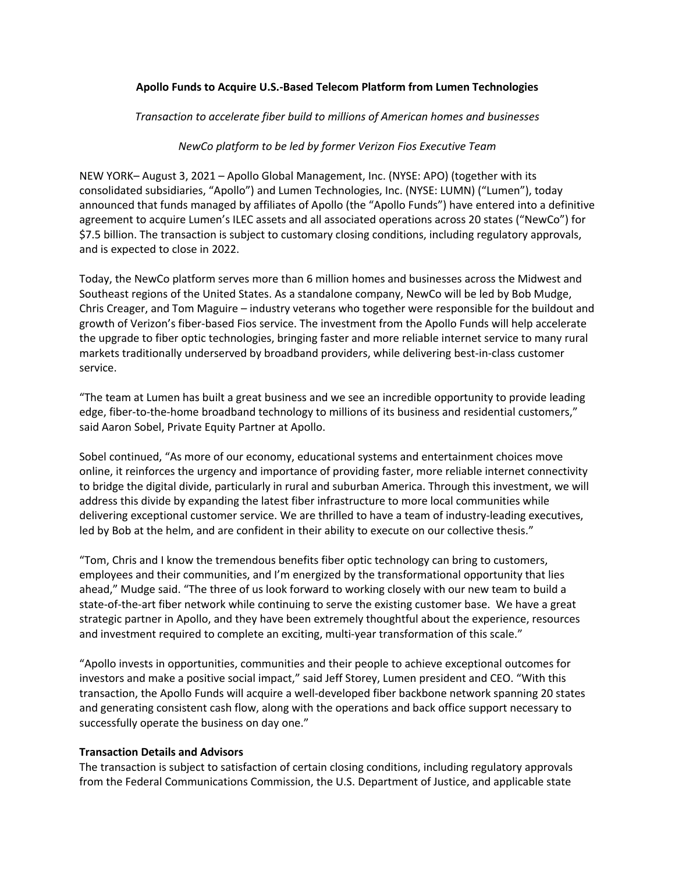# **Apollo Funds to Acquire U.S.-Based Telecom Platform from Lumen Technologies**

*Transaction to accelerate fiber build to millions of American homes and businesses*

### *NewCo platform to be led by former Verizon Fios Executive Team*

NEW YORK– August 3, 2021 – Apollo Global Management, Inc. (NYSE: APO) (together with its consolidated subsidiaries, "Apollo") and Lumen Technologies, Inc. (NYSE: LUMN) ("Lumen"), today announced that funds managed by affiliates of Apollo (the "Apollo Funds") have entered into a definitive agreement to acquire Lumen's ILEC assets and all associated operations across 20 states ("NewCo") for \$7.5 billion. The transaction is subject to customary closing conditions, including regulatory approvals, and is expected to close in 2022.

Today, the NewCo platform serves more than 6 million homes and businesses across the Midwest and Southeast regions of the United States. As a standalone company, NewCo will be led by Bob Mudge, Chris Creager, and Tom Maguire – industry veterans who together were responsible for the buildout and growth of Verizon's fiber-based Fios service. The investment from the Apollo Funds will help accelerate the upgrade to fiber optic technologies, bringing faster and more reliable internet service to many rural markets traditionally underserved by broadband providers, while delivering best-in-class customer service.

"The team at Lumen has built a great business and we see an incredible opportunity to provide leading edge, fiber-to-the-home broadband technology to millions of its business and residential customers," said Aaron Sobel, Private Equity Partner at Apollo.

Sobel continued, "As more of our economy, educational systems and entertainment choices move online, it reinforces the urgency and importance of providing faster, more reliable internet connectivity to bridge the digital divide, particularly in rural and suburban America. Through this investment, we will address this divide by expanding the latest fiber infrastructure to more local communities while delivering exceptional customer service. We are thrilled to have a team of industry-leading executives, led by Bob at the helm, and are confident in their ability to execute on our collective thesis."

"Tom, Chris and I know the tremendous benefits fiber optic technology can bring to customers, employees and their communities, and I'm energized by the transformational opportunity that lies ahead," Mudge said. "The three of us look forward to working closely with our new team to build a state-of-the-art fiber network while continuing to serve the existing customer base. We have a great strategic partner in Apollo, and they have been extremely thoughtful about the experience, resources and investment required to complete an exciting, multi-year transformation of this scale."

"Apollo invests in opportunities, communities and their people to achieve exceptional outcomes for investors and make a positive social impact," said Jeff Storey, Lumen president and CEO. "With this transaction, the Apollo Funds will acquire a well-developed fiber backbone network spanning 20 states and generating consistent cash flow, along with the operations and back office support necessary to successfully operate the business on day one."

#### **Transaction Details and Advisors**

The transaction is subject to satisfaction of certain closing conditions, including regulatory approvals from the Federal Communications Commission, the U.S. Department of Justice, and applicable state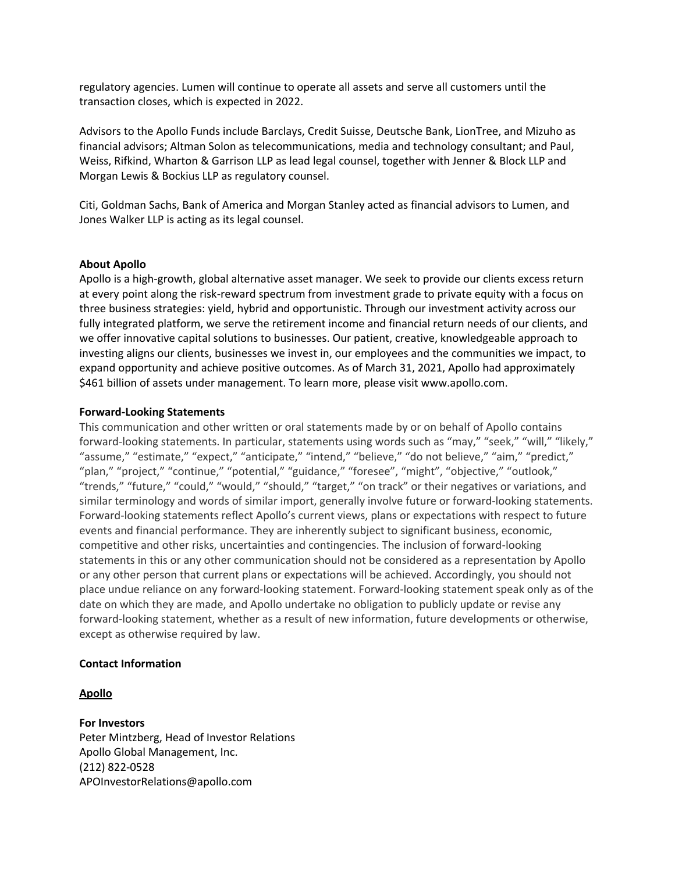regulatory agencies. Lumen will continue to operate all assets and serve all customers until the transaction closes, which is expected in 2022.

Advisors to the Apollo Funds include Barclays, Credit Suisse, Deutsche Bank, LionTree, and Mizuho as financial advisors; Altman Solon as telecommunications, media and technology consultant; and Paul, Weiss, Rifkind, Wharton & Garrison LLP as lead legal counsel, together with Jenner & Block LLP and Morgan Lewis & Bockius LLP as regulatory counsel.

Citi, Goldman Sachs, Bank of America and Morgan Stanley acted as financial advisors to Lumen, and Jones Walker LLP is acting as its legal counsel.

# **About Apollo**

Apollo is a high-growth, global alternative asset manager. We seek to provide our clients excess return at every point along the risk-reward spectrum from investment grade to private equity with a focus on three business strategies: yield, hybrid and opportunistic. Through our investment activity across our fully integrated platform, we serve the retirement income and financial return needs of our clients, and we offer innovative capital solutions to businesses. Our patient, creative, knowledgeable approach to investing aligns our clients, businesses we invest in, our employees and the communities we impact, to expand opportunity and achieve positive outcomes. As of March 31, 2021, Apollo had approximately \$461 billion of assets under management. To learn more, please visit www.apollo.com.

### **Forward-Looking Statements**

This communication and other written or oral statements made by or on behalf of Apollo contains forward-looking statements. In particular, statements using words such as "may," "seek," "will," "likely," "assume," "estimate," "expect," "anticipate," "intend," "believe," "do not believe," "aim," "predict," "plan," "project," "continue," "potential," "guidance," "foresee", "might", "objective," "outlook," "trends," "future," "could," "would," "should," "target," "on track" or their negatives or variations, and similar terminology and words of similar import, generally involve future or forward-looking statements. Forward-looking statements reflect Apollo's current views, plans or expectations with respect to future events and financial performance. They are inherently subject to significant business, economic, competitive and other risks, uncertainties and contingencies. The inclusion of forward-looking statements in this or any other communication should not be considered as a representation by Apollo or any other person that current plans or expectations will be achieved. Accordingly, you should not place undue reliance on any forward-looking statement. Forward-looking statement speak only as of the date on which they are made, and Apollo undertake no obligation to publicly update or revise any forward-looking statement, whether as a result of new information, future developments or otherwise, except as otherwise required by law.

# **Contact Information**

# **Apollo**

# **For Investors**

Peter Mintzberg, Head of Investor Relations Apollo Global Management, Inc. (212) 822-0528 APOInvestorRelations@apollo.com